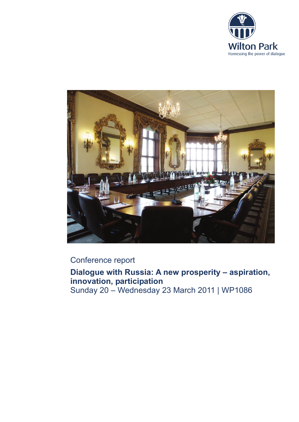



# Conference report

**Dialogue with Russia: A new prosperity – aspiration, innovation, participation** Sunday 20 – Wednesday 23 March 2011 | WP1086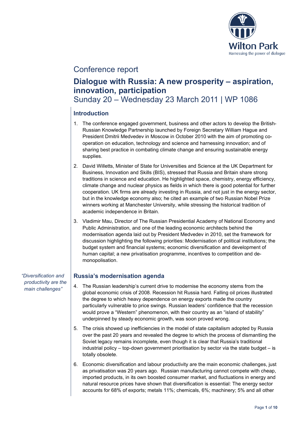

# Conference report

# **Dialogue with Russia: A new prosperity – aspiration, innovation, participation**

Sunday 20 – Wednesday 23 March 2011 | WP 1086

# **Introduction**

- 1. The conference engaged government, business and other actors to develop the British-Russian Knowledge Partnership launched by Foreign Secretary William Hague and President Dmitrii Medvedev in Moscow in October 2010 with the aim of promoting cooperation on education, technology and science and harnessing innovation; and of sharing best practice in combating climate change and ensuring sustainable energy supplies.
- 2. David Willetts, Minister of State for Universities and Science at the UK Department for Business, Innovation and Skills (BIS), stressed that Russia and Britain share strong traditions in science and education. He highlighted space, chemistry, energy efficiency, climate change and nuclear physics as fields in which there is good potential for further cooperation. UK firms are already investing in Russia, and not just in the energy sector, but in the knowledge economy also; he cited an example of two Russian Nobel Prize winners working at Manchester University, while stressing the historical tradition of academic independence in Britain.
- 3. Vladimir Mau, Director of The Russian Presidential Academy of National Economy and Public Administration, and one of the leading economic architects behind the modernisation agenda laid out by President Medvedev in 2010, set the framework for discussion highlighting the following priorities: Modernisation of political institutions; the budget system and financial systems; economic diversification and development of human capital; a new privatisation programme, incentives to competition and demonopolisation.

*"Diversification and productivity are the main challenges"*

# **Russia's modernisation agenda**

- 4. The Russian leadership's current drive to modernise the economy stems from the global economic crisis of 2008. Recession hit Russia hard. Falling oil prices illustrated the degree to which heavy dependence on energy exports made the country particularly vulnerable to price swings. Russian leaders' confidence that the recession would prove a "Western" phenomenon, with their country as an "island of stability" underpinned by steady economic growth, was soon proved wrong.
- 5. The crisis showed up inefficiencies in the model of state capitalism adopted by Russia over the past 20 years and revealed the degree to which the process of dismantling the Soviet legacy remains incomplete, even though it is clear that Russia's traditional industrial policy – top-down government prioritisation by sector via the state budget – is totally obsolete.
- 6. Economic diversification and labour productivity are the main economic challenges, just as privatisation was 20 years ago. Russian manufacturing cannot compete with cheap, imported products, in its own boosted consumer market, and fluctuations in energy and natural resource prices have shown that diversification is essential: The energy sector accounts for 68% of exports; metals 11%; chemicals, 6%; machinery; 5% and all other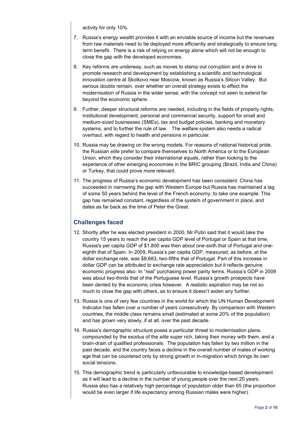activity for only 10%.

- 7. Russia's energy wealth provides it with an enviable source of income but the revenues from raw materials need to be deployed more efficiently and strategically to ensure long term benefit. There is a risk of relying on energy alone which will not be enough to close the gap with the developed economies.
- 8. Key reforms are underway, such as moves to stamp out corruption and a drive to promote research and development by establishing a scientific and technological innovation centre at Skolkovo near Moscow, known as Russia's Silicon Valley. But serious doubts remain, over whether an overall strategy exists to effect the modernisation of Russia in the wider sense, with the concept not seen to extend far beyond the economic sphere.
- 9. Further, deeper structural reforms are needed, including in the fields of property rights, institutional development, personal and commercial security, support for small and medium-sized businesses (SMEs), tax and budget policies, banking and monetary systems, and to further the rule of law. The welfare system also needs a radical overhaul, with regard to health and pensions in particular.
- 10. Russia may be drawing on the wrong models. For reasons of national historical pride, the Russian *elite* prefer to compare themselves to North America or to the European Union, which they consider their international equals, rather than looking to the experience of other emerging economies in the BRIC grouping (Brazil, India and China) or Turkey, that could prove more relevant.
- 11. The progress of Russia's economic development has been consistent. China has succeeded in narrowing the gap with Western Europe but Russia has maintained a lag of some 50 years behind the level of the French economy, to take one example. This gap has remained constant, regardless of the system of government in place, and dates as far back as the time of Peter the Great.

# **Challenges faced**

- 12. Shortly after he was elected president in 2000, Mr Putin said that it would take the country 15 years to reach the per capita GDP level of Portugal or Spain at that time. Russia's per capita GDP of \$1,800 was then about one-sixth that of Portugal and oneeighth that of Spain. In 2009, Russia's per capita GDP, measured, as before, at the dollar exchange rate, was \$8,683, two-fifths that of Portugal. Part of this increase in dollar GDP can be attributed to exchange rate appreciation but it reflects genuine economic progress also. In "real" purchasing power parity terms, Russia's GDP in 2009 was about two-thirds that of the Portuguese level. Russia's growth prospects have been dented by the economic crisis however. A realistic aspiration may be not so much to close the gap with others, as to ensure it doesn't widen any further.
- 13. Russia is one of very few countries in the world for which the UN Human Development Indicator has fallen over a number of years consecutively. By comparison with Western countries, the middle class remains small (estimated at some 20% of the population) and has grown very slowly, if at all, over the past decade.
- 14. Russia's demographic structure poses a particular threat to modernisation plans, compounded by the exodus of the *elite* super rich, taking their money with them, and a brain-drain of qualified professionals. The population has fallen by two million in the past decade, and the country faces a decline in the overall number of males of working age that can be countered only by strong growth in in-migration which brings its own social tensions.
- 15. This demographic trend is particularly unfavourable to knowledge-based development as it will lead to a decline in the number of young people over the next 20 years. Russia also has a relatively high percentage of population older than 65 (the proportion would be even larger if life expectancy among Russian males were higher).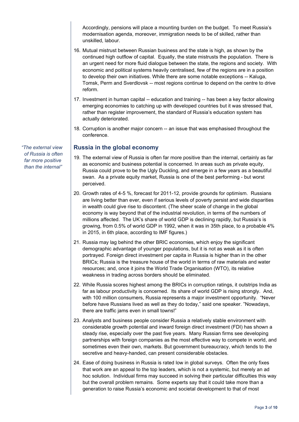Accordingly, pensions will place a mounting burden on the budget. To meet Russia's modernisation agenda, moreover, immigration needs to be of skilled, rather than unskilled, labour.

- 16. Mutual mistrust between Russian business and the state is high, as shown by the continued high outflow of capital. Equally, the state mistrusts the population. There is an urgent need for more fluid dialogue between the state, the regions and society. With economic and political systems heavily centralised, few of the regions are in a position to develop their own initiatives. While there are some notable exceptions -- Kaluga, Tomsk, Perm and Sverdlovsk -- most regions continue to depend on the centre to drive reform.
- 17. Investment in human capital -- education and training -- has been a key factor allowing emerging economies to catching up with developed countries but it was stressed that, rather than register improvement, the standard of Russia's education system has actually deteriorated.
- 18. Corruption is another major concern -- an issue that was emphasised throughout the conference.

### **Russia in the global economy**

- 19. The external view of Russia is often far more positive than the internal, certainly as far as economic and business potential is concerned. In areas such as private equity, Russia could prove to be the Ugly Duckling, and emerge in a few years as a beautiful swan. As a private equity market, Russia is one of the best performing - but worst perceived.
- 20. Growth rates of 4-5 %, forecast for 2011-12, provide grounds for optimism. Russians are living better than ever, even if serious levels of poverty persist and wide disparities in wealth could give rise to discontent. (The sheer scale of change in the global economy is way beyond that of the industrial revolution, in terms of the numbers of millions affected. The UK's share of world GDP is declining rapidly, but Russia's is growing, from 0.5% of world GDP in 1992, when it was in 35th place, to a probable 4% in 2015, in 6th place, according to IMF figures.)
- 21. Russia may lag behind the other BRIC economies, which enjoy the significant demographic advantage of younger populations, but it is not as weak as it is often portrayed. Foreign direct investment per capita in Russia is higher than in the other BRICs; Russia is the treasure house of the world in terms of raw materials and water resources; and, once it joins the World Trade Organisation (WTO), its relative weakness in trading across borders should be eliminated.
- 22. While Russia scores highest among the BRICs in corruption ratings, it outstrips India as far as labour productivity is concerned. Its share of world GDP is rising strongly. And, with 100 million consumers, Russia represents a major investment opportunity. "Never before have Russians lived as well as they do today," said one speaker. "Nowadays, there are traffic jams even in small towns!"
- 23. Analysts and business people consider Russia a relatively stable environment with considerable growth potential and inward foreign direct investment (FDI) has shown a steady rise, especially over the past five years. Many Russian firms see developing partnerships with foreign companies as the most effective way to compete in world, and sometimes even their own, markets. But government bureaucracy, which tends to the secretive and heavy-handed, can present considerable obstacles.
- 24. Ease of doing business in Russia is rated low in global surveys. Often the only fixes that work are an appeal to the top leaders, which is not a systemic, but merely an ad hoc solution. Individual firms may succeed in solving their particular difficulties this way but the overall problem remains. Some experts say that it could take more than a generation to raise Russia's economic and societal development to that of most

*"The external view of Russia is often far more positive than the internal"*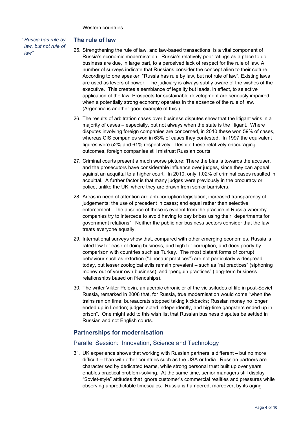Western countries.

*" Russia has rule by law, but not rule of law"*

# **The rule of law**

- 25. Strengthening the rule of law, and law-based transactions, is a vital component of Russia's economic modernisation. Russia's relatively poor ratings as a place to do business are due, in large part, to a perceived lack of respect for the rule of law. A number of surveys indicate that Russians consider the concept alien to their culture. According to one speaker, "Russia has rule by law, but not rule of law". Existing laws are used as levers of power. The judiciary is always subtly aware of the wishes of the executive. This creates a semblance of legality but leads, in effect, to selective application of the law. Prospects for sustainable development are seriously impaired when a potentially strong economy operates in the absence of the rule of law. (Argentina is another good example of this.)
- 26. The results of arbitration cases over business disputes show that the litigant wins in a majority of cases – especially, but not always when the state is the litigant. Where disputes involving foreign companies are concerned, in 2010 these won 59% of cases, whereas CIS companies won in 63% of cases they contested. In 1997 the equivalent figures were 52% and 61% respectively. Despite these relatively encouraging outcomes, foreign companies still mistrust Russian courts.
- 27. Criminal courts present a much worse picture: There the bias is towards the accuser, and the prosecutors have considerable influence over judges, since they can appeal against an acquittal to a higher court. In 2010, only 1.02% of criminal cases resulted in acquittal. A further factor is that many judges were previously in the procuracy or police, unlike the UK, where they are drawn from senior barristers.
- 28. Areas in need of attention are anti-corruption legislation; increased transparency of judgements; the use of precedent in cases; and equal rather than selective enforcement. The absence of these is evident from the practice in Russia whereby companies try to intercede to avoid having to pay bribes using their "departments for government relations" Neither the public nor business sectors consider that the law treats everyone equally.
- 29. International surveys show that, compared with other emerging economies, Russia is rated low for ease of doing business, and high for corruption, and does poorly by comparison with countries such as Turkey. The most blatant forms of corrupt behaviour such as extortion ("dinosaur practices") are not particularly widespread today, but lesser zoological evils remain prevalent – such as "rat practices" (siphoning money out of your own business), and "penguin practices" (long-term business relationships based on friendships).
- 30. The writer Viktor Pelevin, an acerbic chronicler of the vicissitudes of life in post-Soviet Russia, remarked in 2008 that, for Russia, true modernisation would come "when the trains ran on time; bureaucrats stopped taking kickbacks; Russian money no longer ended up in London; judges acted independently, and big-time gangsters ended up in prison". One might add to this wish list that Russian business disputes be settled in Russian and not English courts.

# **Partnerships for modernisation**

# Parallel Session: Innovation, Science and Technology

31. UK experience shows that working with Russian partners is different – but no more difficult -- than with other countries such as the USA or India. Russian partners are characterised by dedicated teams, while strong personal trust built up over years enables practical problem-solving. At the same time, senior managers still display "Soviet-style" attitudes that ignore customer's commercial realities and pressures while observing unpredictable timescales. Russia is hampered, moreover, by its aging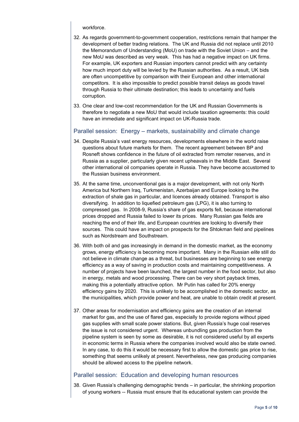#### workforce.

- 32. As regards government-to-government cooperation, restrictions remain that hamper the development of better trading relations. The UK and Russia did not replace until 2010 the Memorandum of Understanding (MoU) on trade with the Soviet Union – and the new MoU was described as very weak. This has had a negative impact on UK firms. For example, UK exporters and Russian importers cannot predict with any certainty how much import duty will be levied by the Russian authorities. As a result, UK bids are often uncompetitive by comparison with their European and other international competitors. It is also impossible to predict possible transit delays as goods travel through Russia to their ultimate destination; this leads to uncertainty and fuels corruption.
- 33. One clear and low-cost recommendation for the UK and Russian Governments is therefore to negotiate a new MoU that would include taxation agreements: this could have an immediate and significant impact on UK-Russia trade.

### Parallel session: Energy – markets, sustainability and climate change

- 34. Despite Russia's vast energy resources, developments elsewhere in the world raise questions about future markets for them. The recent agreement between BP and Rosneft shows confidence in the future of oil extracted from remoter reserves, and in Russia as a supplier, particularly given recent upheavals in the Middle East. Several other international oil companies operate in Russia. They have become accustomed to the Russian business environment.
- 35. At the same time, unconventional gas is a major development, with not only North America but Northern Iraq, Turkmenistan, Azerbaijan and Europe looking to the extraction of shale gas in particular, and licences already obtained. Transport is also diversifying. In addition to liquefied petroleum gas (LPG), it is also turning to compressed gas. In 2008-9, Russia's share of gas exports fell, because international prices dropped and Russia failed to lower its prices. Many Russian gas fields are reaching the end of their life, and European countries are looking to diversify their sources. This could have an impact on prospects for the Shtokman field and pipelines such as Nordstream and Southstream.
- 36. With both oil and gas increasingly in demand in the domestic market, as the economy grows, energy efficiency is becoming more important. Many in the Russian *elite* still do not believe in climate change as a threat, but businesses are beginning to see energy efficiency as a way of saving in production costs and maintaining competitiveness. A number of projects have been launched, the largest number in the food sector, but also in energy, metals and wood processing. There can be very short payback times, making this a potentially attractive option. Mr Putin has called for 20% energy efficiency gains by 2020. This is unlikely to be accomplished in the domestic sector, as the municipalities, which provide power and heat, are unable to obtain credit at present.
- 37. Other areas for modernisation and efficiency gains are the creation of an internal market for gas, and the use of flared gas, especially to provide regions without piped gas supplies with small scale power stations. But, given Russia's huge coal reserves the issue is not considered urgent. Whereas unbundling gas production from the pipeline system is seen by some as desirable, it is not considered useful by all experts in economic terms in Russia where the companies involved would also be state owned. In any case, to do this it would be necessary first to allow the domestic gas price to rise, something that seems unlikely at present. Nevertheless, new gas producing companies should be allowed access to the pipeline network.

# Parallel session: Education and developing human resources

38. Given Russia's challenging demographic trends – in particular, the shrinking proportion of young workers -- Russia must ensure that its educational system can provide the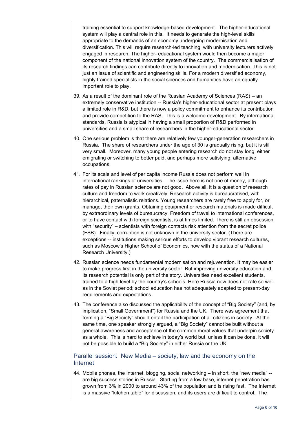training essential to support knowledge-based development. The higher-educational system will play a central role in this. It needs to generate the high-level skills appropriate to the demands of an economy undergoing modernisation and diversification. This will require research-led teaching, with university lecturers actively engaged in research. The higher- educational system would then become a major component of the national innovation system of the country. The commercialisation of its research findings can contribute directly to innovation and modernisation. This is not just an issue of scientific and engineering skills. For a modern diversified economy, highly trained specialists in the social sciences and humanities have an equally important role to play.

- 39. As a result of the dominant role of the Russian Academy of Sciences (RAS) -- an extremely conservative institution -- Russia's higher-educational sector at present plays a limited role in R&D, but there is now a policy commitment to enhance its contribution and provide competition to the RAS. This is a welcome development. By international standards, Russia is atypical in having a small proportion of R&D performed in universities and a small share of researchers in the higher-educational sector.
- 40. One serious problem is that there are relatively few younger-generation researchers in Russia. The share of researchers under the age of 30 is gradually rising, but it is still very small. Moreover, many young people entering research do not stay long, either emigrating or switching to better paid, and perhaps more satisfying, alternative occupations.
- 41. For its scale and level of per capita income Russia does not perform well in international rankings of universities. The issue here is not one of money, although rates of pay in Russian science are not good. Above all, it is a question of research culture and freedom to work creatively. Research activity is bureaucratised, with hierarchical, paternalistic relations. Young researchers are rarely free to apply for, or manage, their own grants. Obtaining equipment or research materials is made difficult by extraordinary levels of bureaucracy. Freedom of travel to international conferences, or to have contact with foreign scientists, is at times limited. There is still an obsession with "security" – scientists with foreign contacts risk attention from the secret police (FSB). Finally, corruption is not unknown in the university sector. (There are exceptions -- institutions making serious efforts to develop vibrant research cultures, such as Moscow's Higher School of Economics, now with the status of a National Research University.)
- 42. Russian science needs fundamental modernisation and rejuvenation. It may be easier to make progress first in the university sector. But improving university education and its research potential is only part of the story. Universities need excellent students, trained to a high level by the country's schools. Here Russia now does not rate so well as in the Soviet period; school education has not adequately adapted to present-day requirements and expectations.
- 43. The conference also discussed the applicability of the concept of "Big Society" (and, by implication, "Small Government") for Russia and the UK. There was agreement that forming a "Big Society" should entail the participation of all citizens in society. At the same time, one speaker strongly argued, a "Big Society" cannot be built without a general awareness and acceptance of the common moral values that underpin society as a whole. This is hard to achieve in today's world but, unless it can be done, it will not be possible to build a "Big Society" in either Russia or the UK.

### Parallel session: New Media – society, law and the economy on the Internet

44. Mobile phones, the Internet, blogging, social networking – in short, the "new media" - are big success stories in Russia. Starting from a low base, internet penetration has grown from 3% in 2000 to around 43% of the population and is rising fast. The Internet is a massive "kitchen table" for discussion, and its users are difficult to control. The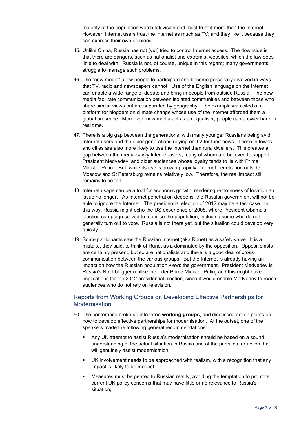majority of the population watch television and most trust it more than the Internet. However, internet users trust the internet as much as TV; and they like it because they can express their own opinions.

- 45. Unlike China, Russia has not (yet) tried to control Internet access. The downside is that there are dangers, such as nationalist and extremist websites, which the law does little to deal with. Russia is not, of course, unique in this regard; many governments struggle to manage such problems.
- 46. The "new media" allow people to participate and become personally involved in ways that TV, radio and newspapers cannot. Use of the English language on the internet can enable a wide range of debate and bring in people from outside Russia. The new media facilitate communication between isolated communities and between those who share similar views but are separated by geography. The example was cited of a platform for bloggers on climate change whose use of the Internet afforded them a global presence. Moreover, new media act as an equaliser; people can answer back in real time.
- 47. There is a big gap between the generations, with many younger Russians being avid Internet users and the older generations relying on TV for their news. Those in towns and cities are also more likely to use the Internet than rural dwellers. This creates a gap between the media-savvy Internet-users, many of whom are believed to support President Medvedev, and older audiences whose loyalty tends to lie with Prime Minister Putin. But, while its use is growing rapidly, Internet penetration outside Moscow and St Petersburg remains relatively low. Therefore, the real impact still remains to be felt.
- 48. Internet usage can be a tool for economic growth, rendering remoteness of location an issue no longer. As Internet penetration deepens, the Russian government will not be able to ignore the Internet. The presidential election of 2012 may be a test case. In this way, Russia might echo the US experience of 2008, where President Obama's election campaign served to mobilise the population, including some who do not generally turn out to vote. Russia is not there yet, but the situation could develop very quickly.
- 49. Some participants saw the Russian Internet (aka Runet) as a safety valve. It is a mistake, they said, to think of Runet as a dominated by the opposition. Oppositionists are certainly present, but so are nationalists and there is a good deal of crosscommunication between the various groups. But the Internet is already having an impact on how the Russian population views the government. President Medvedev is Russia's No 1 blogger (unlike the older Prime Minister Putin) and this might have implications for the 2012 presidential election, since it would enable Medvedev to reach audiences who do not rely on television.

# Reports from Working Groups on Developing Effective Partnerships for Modernisation

- 50. The conference broke up into three **working groups**, and discussed action points on how to develop effective partnerships for modernisation. At the outset, one of the speakers made the following general recommendations:
	- Any UK attempt to assist Russia's modernisation should be based on a sound understanding of the actual situation in Russia and of the priorities for action that will genuinely assist modernisation;
	- UK involvement needs to be approached with realism, with a recognition that any impact is likely to be modest;
	- Measures must be geared to Russian reality, avoiding the temptation to promote current UK policy concerns that may have little or no relevance to Russia's situation;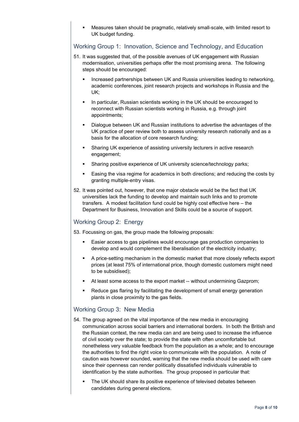Measures taken should be pragmatic, relatively small-scale, with limited resort to UK budget funding.

# Working Group 1: Innovation, Science and Technology, and Education

- 51. It was suggested that, of the possible avenues of UK engagement with Russian modernisation, universities perhaps offer the most promising arena. The following steps should be encouraged:
	- Increased partnerships between UK and Russia universities leading to networking, academic conferences, joint research projects and workshops in Russia and the UK;
	- **I.** In particular, Russian scientists working in the UK should be encouraged to reconnect with Russian scientists working in Russia, e.g. through joint appointments;
	- Dialogue between UK and Russian institutions to advertise the advantages of the UK practice of peer review both to assess university research nationally and as a basis for the allocation of core research funding;
	- Sharing UK experience of assisting university lecturers in active research engagement;
	- Sharing positive experience of UK university science/technology parks;
	- Easing the visa regime for academics in both directions; and reducing the costs by granting multiple-entry visas.
- 52. It was pointed out, however, that one major obstacle would be the fact that UK universities lack the funding to develop and maintain such links and to promote transfers. A modest facilitation fund could be highly cost effective here – the Department for Business, Innovation and Skills could be a source of support.

# Working Group 2: Energy

53. Focussing on gas, the group made the following proposals:

- Easier access to gas pipelines would encourage gas production companies to develop and would complement the liberalisation of the electricity industry;
- A price-setting mechanism in the domestic market that more closely reflects export prices (at least 75% of international price, though domestic customers might need to be subsidised);
- At least some access to the export market -- without undermining Gazprom;
- Reduce gas flaring by facilitating the development of small energy generation plants in close proximity to the gas fields.

# Working Group 3: New Media

- 54. The group agreed on the vital importance of the new media in encouraging communication across social barriers and international borders. In both the British and the Russian context, the new media can and are being used to increase the influence of civil society over the state; to provide the state with often uncomfortable but nonetheless very valuable feedback from the population as a whole; and to encourage the authorities to find the right voice to communicate with the population. A note of caution was however sounded, warning that the new media should be used with care since their openness can render politically dissatisfied individuals vulnerable to identification by the state authorities. The group proposed in particular that:
	- The UK should share its positive experience of televised debates between candidates during general elections.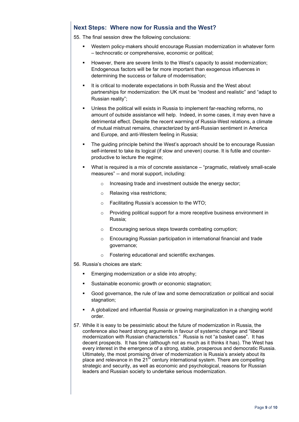# **Next Steps: Where now for Russia and the West?**

55. The final session drew the following conclusions:

- Western policy-makers should encourage Russian modernization in whatever form – technocratic or comprehensive, economic or political;
- However, there are severe limits to the West's capacity to assist modernization; Endogenous factors will be far more important than exogenous influences in determining the success or failure of modernisation;
- It is critical to moderate expectations in both Russia and the West about partnerships for modernization: the UK must be "modest and realistic" and "adapt to Russian reality";
- Unless the political will exists in Russia to implement far-reaching reforms, no amount of outside assistance will help. Indeed, in some cases, it may even have a detrimental effect. Despite the recent warming of Russia-West relations, a climate of mutual mistrust remains, characterized by anti-Russian sentiment in America and Europe, and anti-Western feeling in Russia;
- The guiding principle behind the West's approach should be to encourage Russian self-interest to take its logical (if slow and uneven) course. It is futile and counterproductive to lecture the regime;
- What is required is a mix of concrete assistance "pragmatic, relatively small-scale" measures" -- and moral support, including:
	- o Increasing trade and investment outside the energy sector;
	- o Relaxing visa restrictions;
	- o Facilitating Russia's accession to the WTO;
	- o Providing political support for a more receptive business environment in Russia;
	- o Encouraging serious steps towards combating corruption;
	- o Encouraging Russian participation in international financial and trade governance;
	- o Fostering educational and scientific exchanges.
- 56. Russia's choices are stark:
	- Emerging modernization *or* a slide into atrophy;
	- Sustainable economic growth *or* economic stagnation;
	- Good governance, the rule of law and some democratization *or* political and social stagnation;
	- A globalized and influential Russia *or* growing marginalization in a changing world order.
- 57. While it is easy to be pessimistic about the future of modernization in Russia, the conference also heard strong arguments in favour of systemic change and "liberal modernization with Russian characteristics." Russia is not "a basket case". It has decent prospects. It has time (although not as much as it thinks it has). The West has every interest in the emergence of a strong, stable, prosperous and democratic Russia. Ultimately, the most promising driver of modernization is Russia's anxiety about its place and relevance in the 21<sup>st</sup> century international system. There are compelling strategic and security, as well as economic and psychological, reasons for Russian leaders and Russian society to undertake serious modernization.